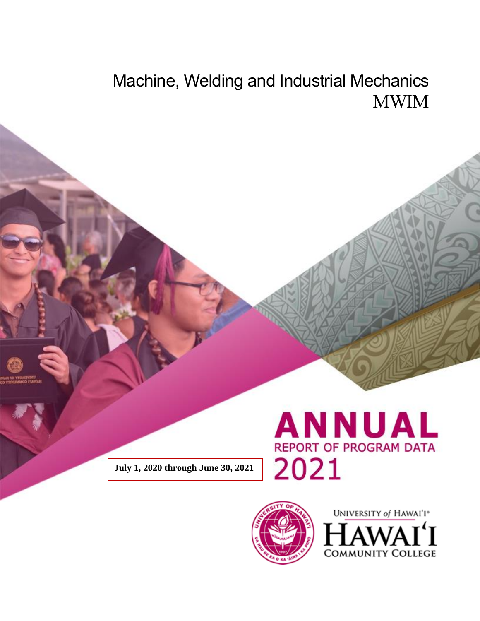# Machine, Welding and Industrial Mechanics MWIM

**July 1, 2020 through June 30, 2021**





UNIVERSITY of HAWAI'I® **COMMUNITY COLLEGE**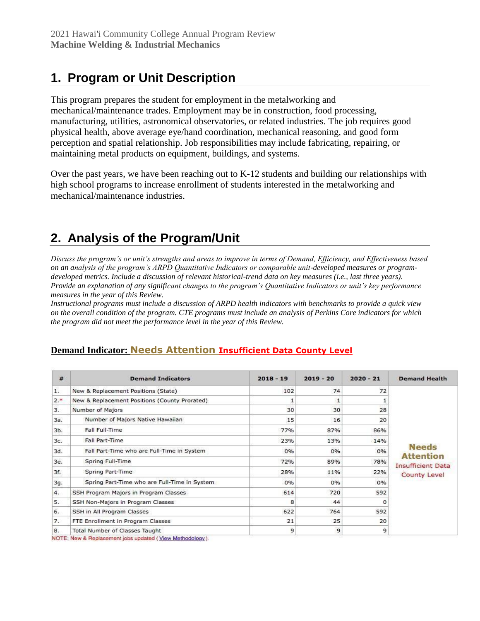## **1. Program or Unit Description**

This program prepares the student for employment in the metalworking and mechanical/maintenance trades. Employment may be in construction, food processing, manufacturing, utilities, astronomical observatories, or related industries. The job requires good physical health, above average eye/hand coordination, mechanical reasoning, and good form perception and spatial relationship. Job responsibilities may include fabricating, repairing, or maintaining metal products on equipment, buildings, and systems.

Over the past years, we have been reaching out to  $K-12$  students and building our relationships with high school programs to increase enrollment of students interested in the metalworking and mechanical/maintenance industries.

### **2. Analysis of the Program/Unit**

*Discuss the program's or unit's strengths and areas to improve in terms of Demand, Efficiency, and Effectiveness based on an analysis of the program's ARPD Quantitative Indicators or comparable unit-developed measures or programdeveloped metrics. Include a discussion of relevant historical-trend data on key measures (i.e., last three years). Provide an explanation of any significant changes to the program's Quantitative Indicators or unit's key performance measures in the year of this Review.*

*Instructional programs must include a discussion of ARPD health indicators with benchmarks to provide a quick view on the overall condition of the program. CTE programs must include an analysis of Perkins Core indicators for which the program did not meet the performance level in the year of this Review.*

| #   | <b>Demand Indicators</b>                                                   | $2018 - 19$ | $2019 - 20$  | $2020 - 21$ | <b>Demand Health</b>                                                                |
|-----|----------------------------------------------------------------------------|-------------|--------------|-------------|-------------------------------------------------------------------------------------|
| 1.  | New & Replacement Positions (State)                                        | 102         | 74           | 72          |                                                                                     |
| 2.8 | New & Replacement Positions (County Prorated)                              | 1           | $\mathbf{1}$ |             |                                                                                     |
| 3.  | Number of Majors                                                           | 30          | 30           | 28          |                                                                                     |
| 3a. | Number of Majors Native Hawaiian                                           | 15          | 16           | 20          |                                                                                     |
| 3b. | Fall Full-Time                                                             | 77%         | 87%          | 86%         |                                                                                     |
| 3c. | <b>Fall Part-Time</b>                                                      | 23%         | 13%          | 14%         |                                                                                     |
| 3d. | Fall Part-Time who are Full-Time in System                                 | 0%          | 0%           | 0%          | <b>Needs</b><br><b>Attention</b><br><b>Insufficient Data</b><br><b>County Level</b> |
| 3e. | Spring Full-Time                                                           | 72%         | 89%          | 78%         |                                                                                     |
| 3f. | Spring Part-Time                                                           | 28%         | 11%          | 22%         |                                                                                     |
| 3g. | Spring Part-Time who are Full-Time in System                               | 0%          | 0%<br>0%     |             |                                                                                     |
| 4.  | SSH Program Majors in Program Classes<br>SSH Non-Majors in Program Classes | 614         | 720          | 592         |                                                                                     |
| 5.  |                                                                            | 8           | 44           |             |                                                                                     |
| 6.  | SSH in All Program Classes                                                 | 622         | 764          | 592         |                                                                                     |
| 7.  | FTE Enrollment in Program Classes                                          | 21          | 25           | 20          |                                                                                     |
| 8.  | Total Number of Classes Taught                                             | 9           | 9            | 9           |                                                                                     |

### **Demand Indicator: Needs Attention Insufficient Data County Level**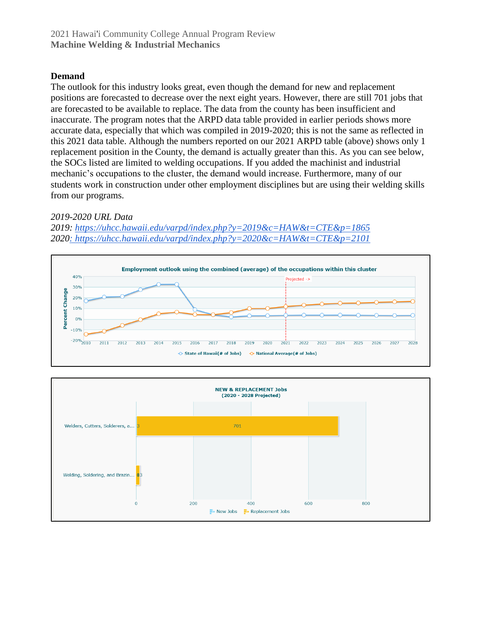#### **Demand**

The outlook for this industry looks great, even though the demand for new and replacement positions are forecasted to decrease over the next eight years. However, there are still 701 jobs that are forecasted to be available to replace. The data from the county has been insufficient and inaccurate. The program notes that the ARPD data table provided in earlier periods shows more accurate data, especially that which was compiled in 2019-2020; this is not the same as reflected in this 2021 data table. Although the numbers reported on our 2021 ARPD table (above) shows only 1 replacement position in the County, the demand is actually greater than this. As you can see below, the SOCs listed are limited to welding occupations. If you added the machinist and industrial mechanic's occupations to the cluster, the demand would increase. Furthermore, many of our students work in construction under other employment disciplines but are using their welding skills from our programs.

#### *2019-2020 URL Data*

*2019:<https://uhcc.hawaii.edu/varpd/index.php?y=2019&c=HAW&t=CTE&p=1865> 202[0: https://uhcc.hawaii.edu/varpd/index.php?y=2020&c=HAW&t=CTE&p=2101](https://uhcc.hawaii.edu/varpd/index.php?y=2020&c=HAW&t=CTE&p=2101)*



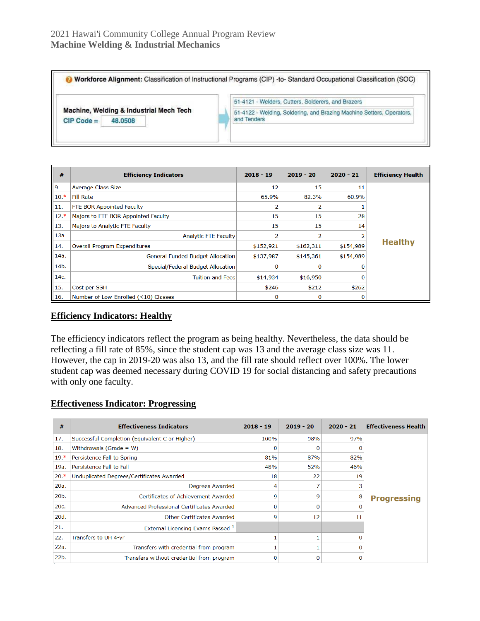#### 2021 Hawai'i Community College Annual Program Review **Machine Welding & Industrial Mechanics**

Workforce Alignment: Classification of Instructional Programs (CIP) -to- Standard Occupational Classification (SOC) 51-4121 - Welders, Cutters, Solderers, and Brazers Machine, Welding & Industrial Mech Tech 51-4122 - Welding, Soldering, and Brazing Machine Setters, Operators,  $CIP Code =$ 48.0508 and Tenders

| #                | <b>Efficiency Indicators</b>            | $2018 - 19$ | $2019 - 20$ | $2020 - 21$ | <b>Efficiency Health</b> |  |
|------------------|-----------------------------------------|-------------|-------------|-------------|--------------------------|--|
| $\vert$ 9.       | <b>Average Class Size</b>               | 12          | 15          | 11          |                          |  |
| $  10.*$         | <b>Fill Rate</b>                        | 65.9%       | 82.3%       | 60.9%       |                          |  |
| 11.              | FTE BOR Appointed Faculty               | 2           |             |             |                          |  |
| $  12.*$         | Majors to FTE BOR Appointed Faculty     | 15          | 15          | 28          |                          |  |
| $\parallel$ 13.  | Majors to Analytic FTE Faculty          | 15          | 15          | 14          |                          |  |
| 13a.             | <b>Analytic FTE Faculty</b>             | 2           |             |             |                          |  |
| $\parallel$ 14.  | <b>Overall Program Expenditures</b>     | \$152,921   | \$162,311   | \$154,989   | <b>Healthy</b>           |  |
| 14a.             | <b>General Funded Budget Allocation</b> | \$137,987   | \$145,361   | \$154,989   |                          |  |
| 14b.             | Special/Federal Budget Allocation       | 0           |             |             |                          |  |
| $\parallel$ 14c. | <b>Tuition and Fees</b>                 | \$14,934    | \$16,950    |             |                          |  |
| 15.              | Cost per SSH                            | \$246       | \$212       | \$262       |                          |  |
| $\parallel$ 16.  | Number of Low-Enrolled (<10) Classes    | 0           |             |             |                          |  |

#### **Efficiency Indicators: Healthy**

The efficiency indicators reflect the program as being healthy. Nevertheless, the data should be reflecting a fill rate of 85%, since the student cap was 13 and the average class size was 11. However, the cap in 2019-20 was also 13, and the fill rate should reflect over 100%. The lower student cap was deemed necessary during COVID 19 for social distancing and safety precautions with only one faculty.

#### **Effectiveness Indicator: Progressing**

| #       | <b>Effectiveness Indicators</b>                | $2018 - 19$ | $2019 - 20$ | $2020 - 21$ | <b>Effectiveness Health</b> |
|---------|------------------------------------------------|-------------|-------------|-------------|-----------------------------|
| 17.     | Successful Completion (Equivalent C or Higher) | 100%        | 98%         | 97%         |                             |
| 18.     | Withdrawals (Grade = $W$ )                     | 0           | 0           |             |                             |
| $19.*$  | Persistence Fall to Spring                     | 81%         | 87%         | 82%         |                             |
| 19a.    | Persistence Fall to Fall                       | 48%         | 52%         | 46%         |                             |
| $20.*$  | Unduplicated Degrees/Certificates Awarded      | 18          | 22          | 19          |                             |
| 20a.    | Degrees Awarded                                | 4           |             | 3           |                             |
| $20b$ . | Certificates of Achievement Awarded            |             | 9           | 8           | <b>Progressing</b>          |
| 20c.    | Advanced Professional Certificates Awarded     | $\mathbf 0$ | 0           | O           |                             |
| 20d.    | Other Certificates Awarded                     | 9           | 12          | 11          |                             |
| 21.     | External Licensing Exams Passed 1              |             |             |             |                             |
| 22.     | Transfers to UH 4-yr                           |             |             | 0           |                             |
| 22a.    | Transfers with credential from program         |             |             | n           |                             |
| 22b.    | Transfers without credential from program      | $\mathbf 0$ | O           | $\Omega$    |                             |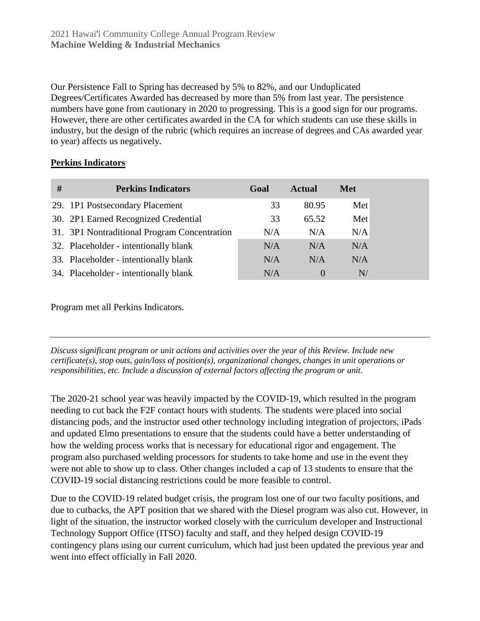Our Persistence Fall to Spring has decreased by 5% to 82%, and our Unduplicated Degrees/Certificates Awarded has decreased by more than 5% from last year. The persistence numbers have gone from cautionary in 2020 to progressing. This is a good sign for our programs. However, there are other certificates awarded in the CA for which students can use these skills in industry, but the design of the rubric (which requires an increase of degrees and CAs awarded year to year) affects us negatively.

#### **Perkins Indicators**

| # | <b>Perkins Indicators</b>                    | Goal | <b>Actual</b> | <b>Met</b> |
|---|----------------------------------------------|------|---------------|------------|
|   | 29. 1P1 Postsecondary Placement              | 33   | 80.95         | Met        |
|   | 30. 2P1 Earned Recognized Credential         | 33   | 65.52         | Met        |
|   | 31. 3P1 Nontraditional Program Concentration | N/A  | N/A           | N/A        |
|   | 32. Placeholder - intentionally blank        | N/A  | N/A           | N/A        |
|   | 33. Placeholder - intentionally blank        | N/A  | N/A           | N/A        |
|   | 34. Placeholder - intentionally blank        | N/A  | $\theta$      | N/         |

Program met all Perkins Indicators.

*Discuss significant program or unit actions and activities over the year of this Review. Include new certificate(s), stop outs, gain/loss of position(s), organizational changes, changes in unit operations or responsibilities, etc. Include a discussion of external factors affecting the program or unit.*

The 2020-21 school year was heavily impacted by the COVID-19, which resulted in the program needing to cut back the F2F contact hours with students. The students were placed into social distancing pods, and the instructor used other technology including integration of projectors, iPads and updated Elmo presentations to ensure that the students could have a better understanding of how the welding process works that is necessary for educational rigor and engagement. The program also purchased welding processors for students to take home and use in the event they were not able to show up to class. Other changes included a cap of 13 students to ensure that the COVID-19 social distancing restrictions could be more feasible to control.

Due to the COVID-19 related budget crisis, the program lost one of our two faculty positions, and due to cutbacks, the APT position that we shared with the Diesel program was also cut. However, in light of the situation, the instructor worked closely with the curriculum developer and Instructional Technology Support Office (ITSO) faculty and staff, and they helped design COVID-19 contingency plans using our current curriculum, which had just been updated the previous year and went into effect officially in Fall 2020.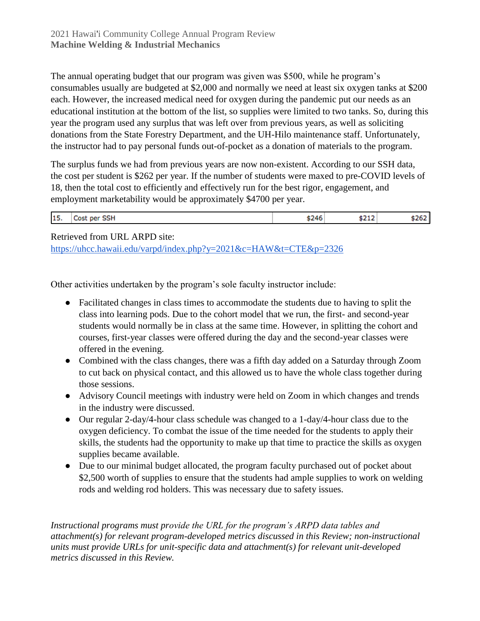The annual operating budget that our program was given was \$500, while he program's consumables usually are budgeted at \$2,000 and normally we need at least six oxygen tanks at \$200 each. However, the increased medical need for oxygen during the pandemic put our needs as an educational institution at the bottom of the list, so supplies were limited to two tanks. So, during this year the program used any surplus that was left over from previous years, as well as soliciting donations from the State Forestry Department, and the UH-Hilo maintenance staff. Unfortunately, the instructor had to pay personal funds out-of-pocket as a donation of materials to the program.

The surplus funds we had from previous years are now non-existent. According to our SSH data, the cost per student is \$262 per year. If the number of students were maxed to pre-COVID levels of 18, then the total cost to efficiently and effectively run for the best rigor, engagement, and employment marketability would be approximately \$4700 per year.

|--|

Retrieved from URL ARPD site:

<https://uhcc.hawaii.edu/varpd/index.php?y=2021&c=HAW&t=CTE&p=2326>

Other activities undertaken by the program's sole faculty instructor include:

- Facilitated changes in class times to accommodate the students due to having to split the class into learning pods. Due to the cohort model that we run, the first- and second-year students would normally be in class at the same time. However, in splitting the cohort and courses, first-year classes were offered during the day and the second-year classes were offered in the evening.
- Combined with the class changes, there was a fifth day added on a Saturday through Zoom to cut back on physical contact, and this allowed us to have the whole class together during those sessions.
- Advisory Council meetings with industry were held on Zoom in which changes and trends in the industry were discussed.
- Our regular 2-day/4-hour class schedule was changed to a 1-day/4-hour class due to the oxygen deficiency. To combat the issue of the time needed for the students to apply their skills, the students had the opportunity to make up that time to practice the skills as oxygen supplies became available.
- Due to our minimal budget allocated, the program faculty purchased out of pocket about \$2,500 worth of supplies to ensure that the students had ample supplies to work on welding rods and welding rod holders. This was necessary due to safety issues.

*Instructional programs must provide the URL for the program's ARPD data tables and attachment(s) for relevant program-developed metrics discussed in this Review; non-instructional units must provide URLs for unit-specific data and attachment(s) for relevant unit-developed metrics discussed in this Review.*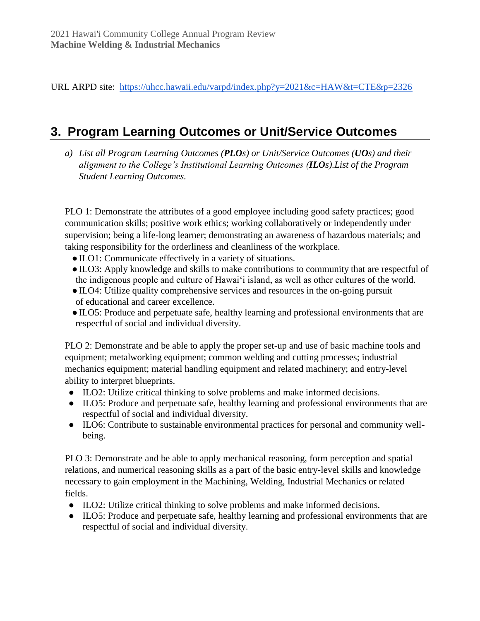URL ARPD site: <https://uhcc.hawaii.edu/varpd/index.php?y=2021&c=HAW&t=CTE&p=2326>

### **3. Program Learning Outcomes or Unit/Service Outcomes**

*a) List all Program Learning Outcomes (PLOs) or Unit/Service Outcomes (UOs) and their alignment to the College's Institutional Learning Outcomes (ILOs).List of the Program Student Learning Outcomes.*

PLO 1: Demonstrate the attributes of a good employee including good safety practices; good communication skills; positive work ethics; working collaboratively or independently under supervision; being a life-long learner; demonstrating an awareness of hazardous materials; and taking responsibility for the orderliness and cleanliness of the workplace.

- ●ILO1: Communicate effectively in a variety of situations.
- ●ILO3: Apply knowledge and skills to make contributions to community that are respectful of the indigenous people and culture of Hawai'i island, as well as other cultures of the world.
- ●ILO4: Utilize quality comprehensive services and resources in the on-going pursuit of educational and career excellence.
- ●ILO5: Produce and perpetuate safe, healthy learning and professional environments that are respectful of social and individual diversity.

PLO 2: Demonstrate and be able to apply the proper set-up and use of basic machine tools and equipment; metalworking equipment; common welding and cutting processes; industrial mechanics equipment; material handling equipment and related machinery; and entry-level ability to interpret blueprints.

- ILO2: Utilize critical thinking to solve problems and make informed decisions.
- ILO5: Produce and perpetuate safe, healthy learning and professional environments that are respectful of social and individual diversity.
- ILO6: Contribute to sustainable environmental practices for personal and community wellbeing.

PLO 3: Demonstrate and be able to apply mechanical reasoning, form perception and spatial relations, and numerical reasoning skills as a part of the basic entry-level skills and knowledge necessary to gain employment in the Machining, Welding, Industrial Mechanics or related fields.

- ILO2: Utilize critical thinking to solve problems and make informed decisions.
- ILO5: Produce and perpetuate safe, healthy learning and professional environments that are respectful of social and individual diversity.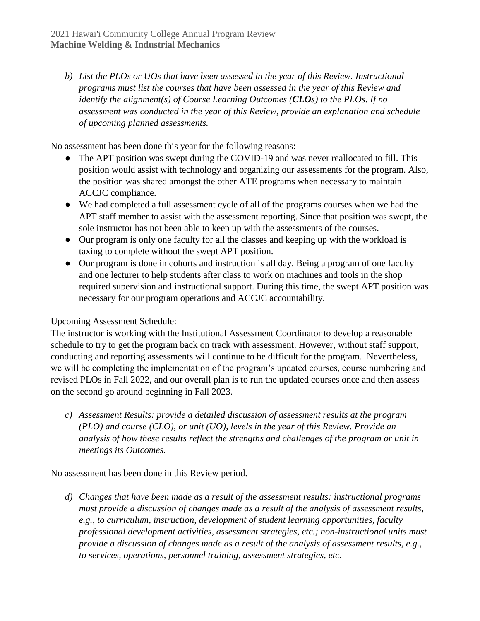*b) List the PLOs or UOs that have been assessed in the year of this Review. Instructional programs must list the courses that have been assessed in the year of this Review and identify the alignment(s) of Course Learning Outcomes (CLOs) to the PLOs. If no assessment was conducted in the year of this Review, provide an explanation and schedule of upcoming planned assessments.*

No assessment has been done this year for the following reasons:

- The APT position was swept during the COVID-19 and was never reallocated to fill. This position would assist with technology and organizing our assessments for the program. Also, the position was shared amongst the other ATE programs when necessary to maintain ACCJC compliance.
- We had completed a full assessment cycle of all of the programs courses when we had the APT staff member to assist with the assessment reporting. Since that position was swept, the sole instructor has not been able to keep up with the assessments of the courses.
- Our program is only one faculty for all the classes and keeping up with the workload is taxing to complete without the swept APT position.
- Our program is done in cohorts and instruction is all day. Being a program of one faculty and one lecturer to help students after class to work on machines and tools in the shop required supervision and instructional support. During this time, the swept APT position was necessary for our program operations and ACCJC accountability.

#### Upcoming Assessment Schedule:

The instructor is working with the Institutional Assessment Coordinator to develop a reasonable schedule to try to get the program back on track with assessment. However, without staff support, conducting and reporting assessments will continue to be difficult for the program. Nevertheless, we will be completing the implementation of the program's updated courses, course numbering and revised PLOs in Fall 2022, and our overall plan is to run the updated courses once and then assess on the second go around beginning in Fall 2023.

*c) Assessment Results: provide a detailed discussion of assessment results at the program (PLO) and course (CLO), or unit (UO), levels in the year of this Review. Provide an analysis of how these results reflect the strengths and challenges of the program or unit in meetings its Outcomes.*

No assessment has been done in this Review period.

*d) Changes that have been made as a result of the assessment results: instructional programs must provide a discussion of changes made as a result of the analysis of assessment results, e.g., to curriculum, instruction, development of student learning opportunities, faculty professional development activities, assessment strategies, etc.; non-instructional units must provide a discussion of changes made as a result of the analysis of assessment results, e.g., to services, operations, personnel training, assessment strategies, etc.*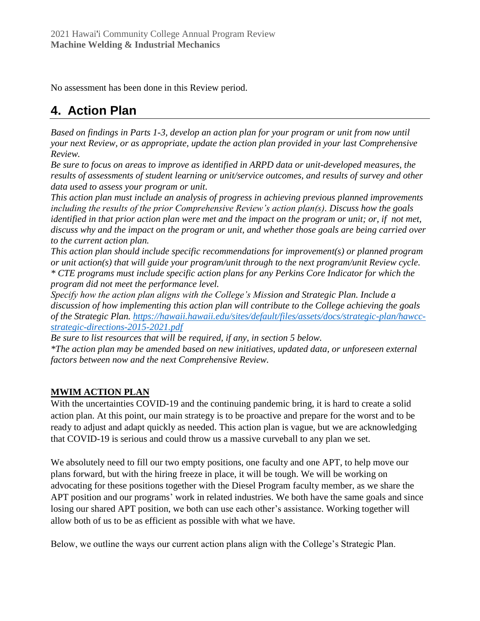No assessment has been done in this Review period.

# **4. Action Plan**

*Based on findings in Parts 1-3, develop an action plan for your program or unit from now until your next Review, or as appropriate, update the action plan provided in your last Comprehensive Review.*

*Be sure to focus on areas to improve as identified in ARPD data or unit-developed measures, the results of assessments of student learning or unit/service outcomes, and results of survey and other data used to assess your program or unit.* 

*This action plan must include an analysis of progress in achieving previous planned improvements including the results of the prior Comprehensive Review's action plan(s). Discuss how the goals identified in that prior action plan were met and the impact on the program or unit; or, if not met, discuss why and the impact on the program or unit, and whether those goals are being carried over to the current action plan.* 

*This action plan should include specific recommendations for improvement(s) or planned program or unit action(s) that will guide your program/unit through to the next program/unit Review cycle. \* CTE programs must include specific action plans for any Perkins Core Indicator for which the program did not meet the performance level.*

*Specify how the action plan aligns with the College's Mission and Strategic Plan. Include a discussion of how implementing this action plan will contribute to the College achieving the goals of the Strategic Plan. [https://hawaii.hawaii.edu/sites/default/files/assets/docs/strategic-plan/hawcc](https://hawaii.hawaii.edu/sites/default/files/assets/docs/strategic-plan/hawcc-strategic-directions-2015-2021.pdf)[strategic-directions-2015-2021.pdf](https://hawaii.hawaii.edu/sites/default/files/assets/docs/strategic-plan/hawcc-strategic-directions-2015-2021.pdf)*

*Be sure to list resources that will be required, if any, in section 5 below. \*The action plan may be amended based on new initiatives, updated data, or unforeseen external factors between now and the next Comprehensive Review.* 

### **MWIM ACTION PLAN**

With the uncertainties COVID-19 and the continuing pandemic bring, it is hard to create a solid action plan. At this point, our main strategy is to be proactive and prepare for the worst and to be ready to adjust and adapt quickly as needed. This action plan is vague, but we are acknowledging that COVID-19 is serious and could throw us a massive curveball to any plan we set.

We absolutely need to fill our two empty positions, one faculty and one APT, to help move our plans forward, but with the hiring freeze in place, it will be tough. We will be working on advocating for these positions together with the Diesel Program faculty member, as we share the APT position and our programs' work in related industries. We both have the same goals and since losing our shared APT position, we both can use each other's assistance. Working together will allow both of us to be as efficient as possible with what we have.

Below, we outline the ways our current action plans align with the College's Strategic Plan.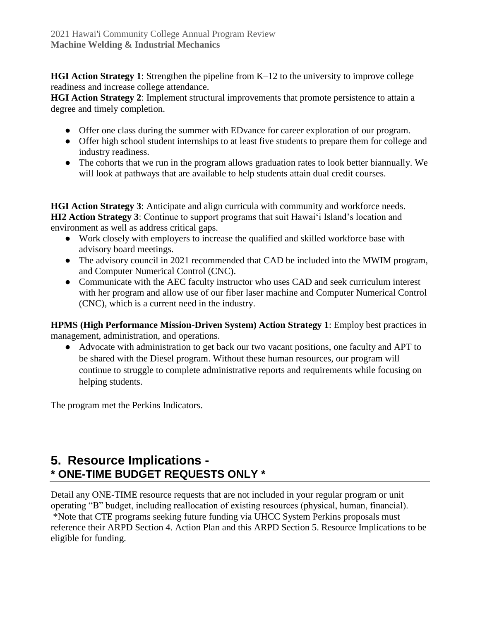**HGI Action Strategy 1**: Strengthen the pipeline from K–12 to the university to improve college readiness and increase college attendance.

**HGI Action Strategy 2**: Implement structural improvements that promote persistence to attain a degree and timely completion.

- Offer one class during the summer with EDvance for career exploration of our program.
- Offer high school student internships to at least five students to prepare them for college and industry readiness.
- The cohorts that we run in the program allows graduation rates to look better biannually. We will look at pathways that are available to help students attain dual credit courses.

**HGI Action Strategy 3**: Anticipate and align curricula with community and workforce needs. **HI2 Action Strategy 3**: Continue to support programs that suit Hawai'i Island's location and environment as well as address critical gaps.

- Work closely with employers to increase the qualified and skilled workforce base with advisory board meetings.
- The advisory council in 2021 recommended that CAD be included into the MWIM program, and Computer Numerical Control (CNC).
- Communicate with the AEC faculty instructor who uses CAD and seek curriculum interest with her program and allow use of our fiber laser machine and Computer Numerical Control (CNC), which is a current need in the industry.

**HPMS (High Performance Mission-Driven System) Action Strategy 1**: Employ best practices in management, administration, and operations.

● Advocate with administration to get back our two vacant positions, one faculty and APT to be shared with the Diesel program. Without these human resources, our program will continue to struggle to complete administrative reports and requirements while focusing on helping students.

The program met the Perkins Indicators.

### **5. Resource Implications - \* ONE-TIME BUDGET REQUESTS ONLY \***

Detail any ONE-TIME resource requests that are not included in your regular program or unit operating "B" budget, including reallocation of existing resources (physical, human, financial). \*Note that CTE programs seeking future funding via UHCC System Perkins proposals must reference their ARPD Section 4. Action Plan and this ARPD Section 5. Resource Implications to be eligible for funding.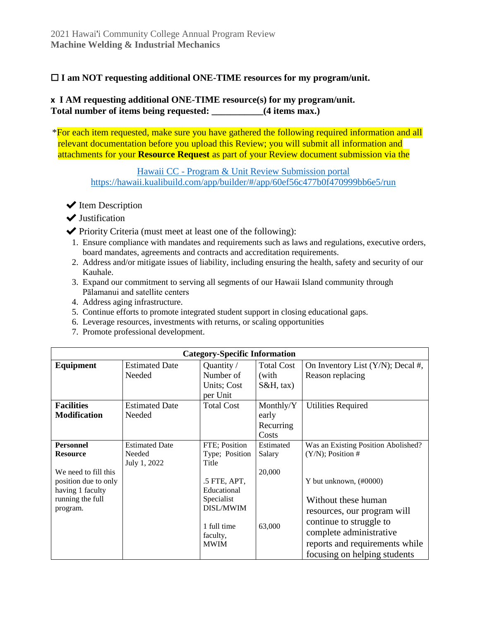#### □ I am NOT requesting additional ONE-TIME resources for my program/unit.

#### **x I AM requesting additional ONE-TIME resource(s) for my program/unit.** Total number of items being requested:  $(4 \text{ items max.})$

\*For each item requested, make sure you have gathered the following required information and all relevant documentation before you upload this Review; you will submit all information and attachments for your **Resource Request** as part of your Review document submission via the

Hawaii CC - [Program & Unit Review Submission portal](https://hawaii.kualibuild.com/app/builder/#/app/60ef56c477b0f470999bb6e5/run) <https://hawaii.kualibuild.com/app/builder/#/app/60ef56c477b0f470999bb6e5/run>

- $\blacktriangleright$  Item Description
- ◆ Justification
- ✔Priority Criteria (must meet at least one of the following):
	- 1. Ensure compliance with mandates and requirements such as laws and regulations, executive orders, board mandates, agreements and contracts and accreditation requirements.
	- 2. Address and/or mitigate issues of liability, including ensuring the health, safety and security of our Kauhale.
	- 3. Expand our commitment to serving all segments of our Hawaii Island community through Pālamanui and satellite centers
	- 4. Address aging infrastructure.
	- 5. Continue efforts to promote integrated student support in closing educational gaps.
	- 6. Leverage resources, investments with returns, or scaling opportunities
	- 7. Promote professional development.

|                      | <b>Category-Specific Information</b> |                         |                   |                                      |  |  |
|----------------------|--------------------------------------|-------------------------|-------------------|--------------------------------------|--|--|
| Equipment            | <b>Estimated Date</b>                | Quantity /              | <b>Total Cost</b> | On Inventory List $(Y/N)$ ; Decal #, |  |  |
|                      | Needed                               | Number of               | (with             | Reason replacing                     |  |  |
|                      |                                      | Units; Cost             | $S&H, \text{tax}$ |                                      |  |  |
|                      |                                      | per Unit                |                   |                                      |  |  |
| <b>Facilities</b>    | <b>Estimated Date</b>                | <b>Total Cost</b>       | Monthly/Y         | <b>Utilities Required</b>            |  |  |
| <b>Modification</b>  | Needed                               |                         | early             |                                      |  |  |
|                      |                                      |                         | Recurring         |                                      |  |  |
|                      |                                      |                         | Costs             |                                      |  |  |
| <b>Personnel</b>     | <b>Estimated Date</b>                | FTE; Position           | Estimated         | Was an Existing Position Abolished?  |  |  |
| <b>Resource</b>      | Needed                               | Type; Position          | Salary            | $(Y/N)$ ; Position #                 |  |  |
|                      | July 1, 2022                         | Title                   |                   |                                      |  |  |
| We need to fill this |                                      |                         | 20,000            |                                      |  |  |
| position due to only |                                      | .5 FTE, APT,            |                   | Y but unknown, (#0000)               |  |  |
| having 1 faculty     |                                      | Educational             |                   |                                      |  |  |
| running the full     |                                      | Specialist<br>DISL/MWIM |                   | Without these human                  |  |  |
| program.             |                                      |                         |                   | resources, our program will          |  |  |
|                      |                                      | 1 full time             | 63,000            | continue to struggle to              |  |  |
|                      |                                      | faculty,                |                   | complete administrative              |  |  |
|                      |                                      | <b>MWIM</b>             |                   | reports and requirements while       |  |  |
|                      |                                      |                         |                   | focusing on helping students         |  |  |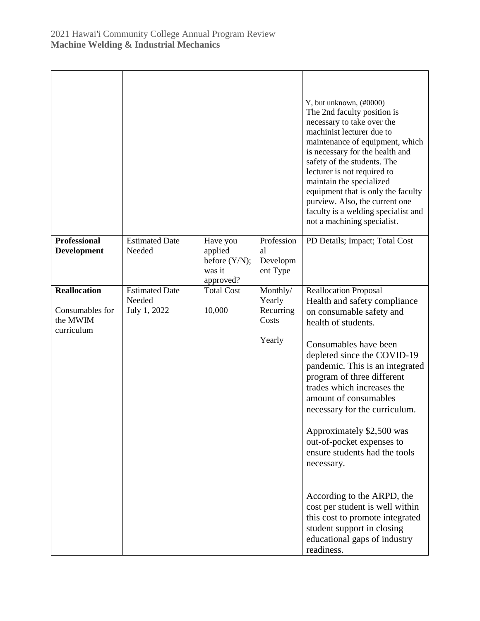|                                                                  |                                                 |                                                             |                                                    | Y, but unknown, (#0000)<br>The 2nd faculty position is<br>necessary to take over the<br>machinist lecturer due to<br>maintenance of equipment, which<br>is necessary for the health and<br>safety of the students. The<br>lecturer is not required to<br>maintain the specialized<br>equipment that is only the faculty<br>purview. Also, the current one<br>faculty is a welding specialist and<br>not a machining specialist.                                                                                                                                                                                           |
|------------------------------------------------------------------|-------------------------------------------------|-------------------------------------------------------------|----------------------------------------------------|---------------------------------------------------------------------------------------------------------------------------------------------------------------------------------------------------------------------------------------------------------------------------------------------------------------------------------------------------------------------------------------------------------------------------------------------------------------------------------------------------------------------------------------------------------------------------------------------------------------------------|
| <b>Professional</b><br>Development                               | <b>Estimated Date</b><br>Needed                 | Have you<br>applied<br>before (Y/N);<br>was it<br>approved? | Profession<br>al<br>Developm<br>ent Type           | PD Details; Impact; Total Cost                                                                                                                                                                                                                                                                                                                                                                                                                                                                                                                                                                                            |
| <b>Reallocation</b><br>Consumables for<br>the MWIM<br>curriculum | <b>Estimated Date</b><br>Needed<br>July 1, 2022 | <b>Total Cost</b><br>10,000                                 | Monthly/<br>Yearly<br>Recurring<br>Costs<br>Yearly | <b>Reallocation Proposal</b><br>Health and safety compliance<br>on consumable safety and<br>health of students.<br>Consumables have been<br>depleted since the COVID-19<br>pandemic. This is an integrated<br>program of three different<br>trades which increases the<br>amount of consumables<br>necessary for the curriculum.<br>Approximately \$2,500 was<br>out-of-pocket expenses to<br>ensure students had the tools<br>necessary.<br>According to the ARPD, the<br>cost per student is well within<br>this cost to promote integrated<br>student support in closing<br>educational gaps of industry<br>readiness. |